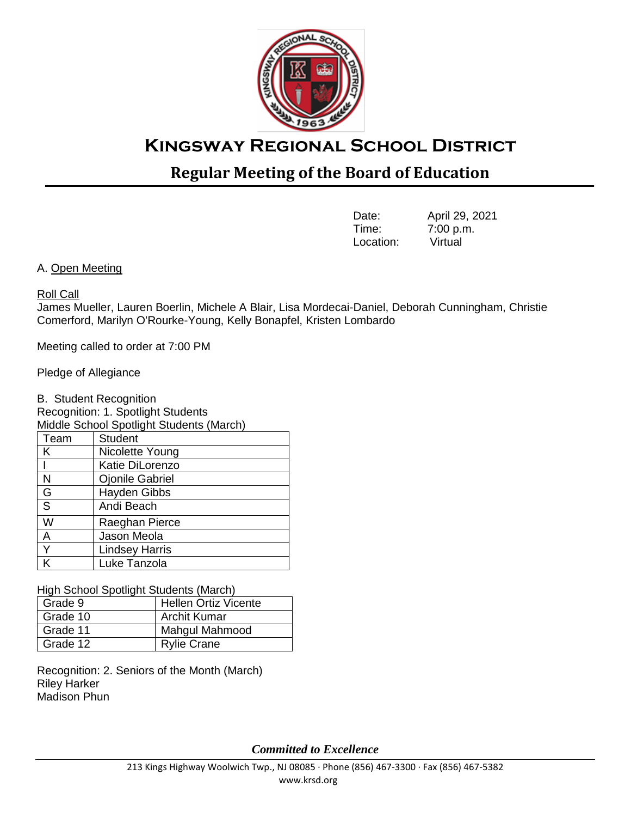

# **Kingsway Regional School District**

## **Regular Meeting of the Board of Education**

| Date:     | April 29, 2021 |
|-----------|----------------|
| Time:     | 7:00 p.m.      |
| Location: | Virtual        |

A. Open Meeting

#### Roll Call

James Mueller, Lauren Boerlin, Michele A Blair, Lisa Mordecai-Daniel, Deborah Cunningham, Christie Comerford, Marilyn O'Rourke-Young, Kelly Bonapfel, Kristen Lombardo

Meeting called to order at 7:00 PM

Pledge of Allegiance

B. Student Recognition

Recognition: 1. Spotlight Students

| Middle School Spotlight Students (March) |                        |  |  |  |
|------------------------------------------|------------------------|--|--|--|
| Team                                     | <b>Student</b>         |  |  |  |
| Κ                                        | Nicolette Young        |  |  |  |
|                                          | <b>Katie DiLorenzo</b> |  |  |  |
| N                                        | <b>Ojonile Gabriel</b> |  |  |  |
| G                                        | <b>Hayden Gibbs</b>    |  |  |  |
| S                                        | Andi Beach             |  |  |  |
| W                                        | Raeghan Pierce         |  |  |  |
| A                                        | Jason Meola            |  |  |  |
| Y                                        | <b>Lindsey Harris</b>  |  |  |  |
|                                          | Luke Tanzola           |  |  |  |

High School Spotlight Students (March)

| Grade 9  | <b>Hellen Ortiz Vicente</b> |
|----------|-----------------------------|
| Grade 10 | <b>Archit Kumar</b>         |
| Grade 11 | Mahgul Mahmood              |
| Grade 12 | <b>Rylie Crane</b>          |

Recognition: 2. Seniors of the Month (March) Riley Harker Madison Phun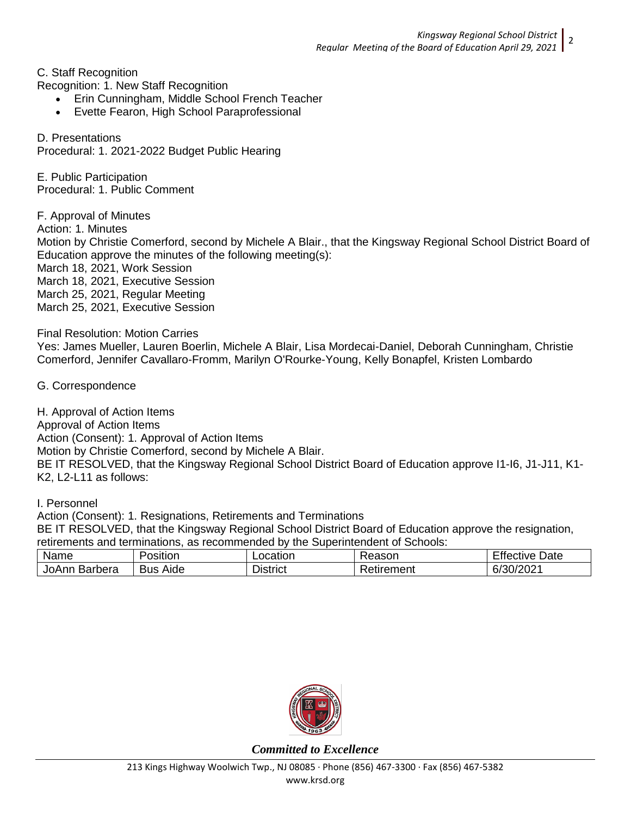C. Staff Recognition

Recognition: 1. New Staff Recognition

- Erin Cunningham, Middle School French Teacher
- Evette Fearon, High School Paraprofessional

D. Presentations Procedural: 1. 2021-2022 Budget Public Hearing

E. Public Participation Procedural: 1. Public Comment

F. Approval of Minutes Action: 1. Minutes Motion by Christie Comerford, second by Michele A Blair., that the Kingsway Regional School District Board of Education approve the minutes of the following meeting(s): March 18, 2021, Work Session March 18, 2021, Executive Session March 25, 2021, Regular Meeting March 25, 2021, Executive Session

Final Resolution: Motion Carries

Yes: James Mueller, Lauren Boerlin, Michele A Blair, Lisa Mordecai-Daniel, Deborah Cunningham, Christie Comerford, Jennifer Cavallaro-Fromm, Marilyn O'Rourke-Young, Kelly Bonapfel, Kristen Lombardo

G. Correspondence

H. Approval of Action Items Approval of Action Items Action (Consent): 1. Approval of Action Items Motion by Christie Comerford, second by Michele A Blair. BE IT RESOLVED, that the Kingsway Regional School District Board of Education approve I1-I6, J1-J11, K1- K2, L2-L11 as follows:

I. Personnel

Action (Consent): 1. Resignations, Retirements and Terminations

BE IT RESOLVED, that the Kingsway Regional School District Board of Education approve the resignation, retirements and terminations, as recommended by the Superintendent of Schools:

| Name                    | $\sim$ 1<br>-<br>Position | .ocation              | Reason          | -<br>Date<br>Effective           |
|-------------------------|---------------------------|-----------------------|-----------------|----------------------------------|
| JoAnr<br><b>Barbera</b> | Aide<br><b>Bus</b>        | --<br><b>Jistrict</b> | -<br>Retirement | ורחריוחכיו ב<br>b,<br>∶ ว∪/∠∪∠ ∶ |

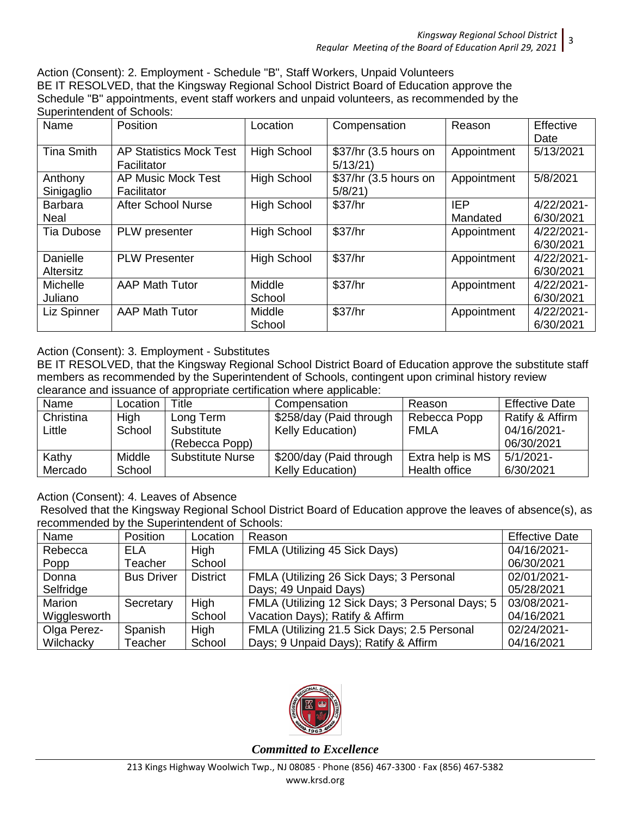Action (Consent): 2. Employment - Schedule "B", Staff Workers, Unpaid Volunteers BE IT RESOLVED, that the Kingsway Regional School District Board of Education approve the Schedule "B" appointments, event staff workers and unpaid volunteers, as recommended by the Superintendent of Schools:

| Name                          | <b>Position</b>                               | Location           | Compensation                     | Reason                 | Effective<br>Date       |
|-------------------------------|-----------------------------------------------|--------------------|----------------------------------|------------------------|-------------------------|
| <b>Tina Smith</b>             | <b>AP Statistics Mock Test</b><br>Facilitator | <b>High School</b> | \$37/hr (3.5 hours on<br>5/13/21 | Appointment            | 5/13/2021               |
| Anthony<br>Sinigaglio         | AP Music Mock Test<br>Facilitator             | <b>High School</b> | \$37/hr (3.5 hours on<br>5/8/21  | Appointment            | 5/8/2021                |
| <b>Barbara</b><br><b>Neal</b> | <b>After School Nurse</b>                     | <b>High School</b> | \$37/hr                          | <b>IEP</b><br>Mandated | 4/22/2021-<br>6/30/2021 |
| <b>Tia Dubose</b>             | PLW presenter                                 | <b>High School</b> | \$37/hr                          | Appointment            | 4/22/2021-<br>6/30/2021 |
| Danielle<br>Altersitz         | <b>PLW Presenter</b>                          | <b>High School</b> | \$37/hr                          | Appointment            | 4/22/2021-<br>6/30/2021 |
| Michelle<br>Juliano           | <b>AAP Math Tutor</b>                         | Middle<br>School   | \$37/hr                          | Appointment            | 4/22/2021-<br>6/30/2021 |
| Liz Spinner                   | <b>AAP Math Tutor</b>                         | Middle<br>School   | \$37/hr                          | Appointment            | 4/22/2021-<br>6/30/2021 |

## Action (Consent): 3. Employment - Substitutes

BE IT RESOLVED, that the Kingsway Regional School District Board of Education approve the substitute staff members as recommended by the Superintendent of Schools, contingent upon criminal history review clearance and issuance of appropriate certification where applicable:

| Name      | Location | Title                   | Compensation            | Reason           | <b>Effective Date</b> |  |
|-----------|----------|-------------------------|-------------------------|------------------|-----------------------|--|
| Christina | High     | Long Term               | \$258/day (Paid through | Rebecca Popp     | Ratify & Affirm       |  |
| Little    | School   | Substitute              | <b>Kelly Education)</b> | <b>FMLA</b>      | 04/16/2021-           |  |
|           |          | (Rebecca Popp)          |                         |                  | 06/30/2021            |  |
| Kathy     | Middle   | <b>Substitute Nurse</b> | \$200/day (Paid through | Extra help is MS | $5/1/2021 -$          |  |
| Mercado   | School   |                         | Kelly Education)        | Health office    | 6/30/2021             |  |

Action (Consent): 4. Leaves of Absence

Resolved that the Kingsway Regional School District Board of Education approve the leaves of absence(s), as recommended by the Superintendent of Schools:

| Name         | <b>Position</b>   | Location        | Reason                                           | <b>Effective Date</b> |
|--------------|-------------------|-----------------|--------------------------------------------------|-----------------------|
| Rebecca      | ELA               | <b>High</b>     | FMLA (Utilizing 45 Sick Days)                    | 04/16/2021-           |
| Popp         | Teacher           | School          |                                                  | 06/30/2021            |
| Donna        | <b>Bus Driver</b> | <b>District</b> | FMLA (Utilizing 26 Sick Days; 3 Personal         | 02/01/2021-           |
| Selfridge    |                   |                 | Days; 49 Unpaid Days)                            | 05/28/2021            |
| Marion       | Secretary         | High            | FMLA (Utilizing 12 Sick Days; 3 Personal Days; 5 | 03/08/2021-           |
| Wigglesworth |                   | School          | Vacation Days); Ratify & Affirm                  | 04/16/2021            |
| Olga Perez-  | Spanish           | High            | FMLA (Utilizing 21.5 Sick Days; 2.5 Personal     | 02/24/2021-           |
| Wilchacky    | Teacher           | School          | Days; 9 Unpaid Days); Ratify & Affirm            | 04/16/2021            |

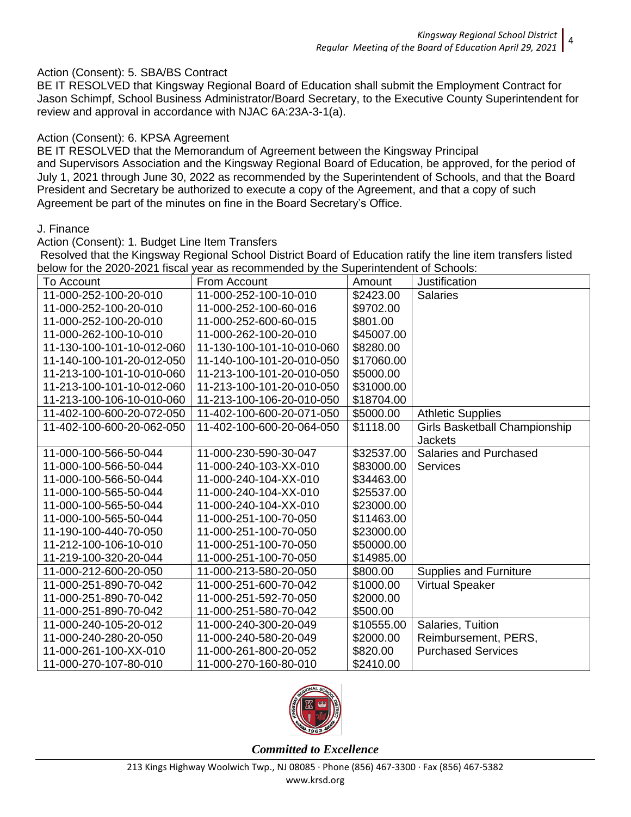#### Action (Consent): 5. SBA/BS Contract

BE IT RESOLVED that Kingsway Regional Board of Education shall submit the Employment Contract for Jason Schimpf, School Business Administrator/Board Secretary, to the Executive County Superintendent for review and approval in accordance with NJAC 6A:23A-3-1(a).

#### Action (Consent): 6. KPSA Agreement

BE IT RESOLVED that the Memorandum of Agreement between the Kingsway Principal and Supervisors Association and the Kingsway Regional Board of Education, be approved, for the period of July 1, 2021 through June 30, 2022 as recommended by the Superintendent of Schools, and that the Board President and Secretary be authorized to execute a copy of the Agreement, and that a copy of such Agreement be part of the minutes on fine in the Board Secretary's Office.

#### J. Finance

#### Action (Consent): 1. Budget Line Item Transfers

Resolved that the Kingsway Regional School District Board of Education ratify the line item transfers listed below for the 2020-2021 fiscal year as recommended by the Superintendent of Schools:

| To Account                | From Account              | Amount     | Justification                 |
|---------------------------|---------------------------|------------|-------------------------------|
| 11-000-252-100-20-010     | 11-000-252-100-10-010     | \$2423.00  | <b>Salaries</b>               |
| 11-000-252-100-20-010     | 11-000-252-100-60-016     | \$9702.00  |                               |
| 11-000-252-100-20-010     | 11-000-252-600-60-015     | \$801.00   |                               |
| 11-000-262-100-10-010     | 11-000-262-100-20-010     | \$45007.00 |                               |
| 11-130-100-101-10-012-060 | 11-130-100-101-10-010-060 | \$8280.00  |                               |
| 11-140-100-101-20-012-050 | 11-140-100-101-20-010-050 | \$17060.00 |                               |
| 11-213-100-101-10-010-060 | 11-213-100-101-20-010-050 | \$5000.00  |                               |
| 11-213-100-101-10-012-060 | 11-213-100-101-20-010-050 | \$31000.00 |                               |
| 11-213-100-106-10-010-060 | 11-213-100-106-20-010-050 | \$18704.00 |                               |
| 11-402-100-600-20-072-050 | 11-402-100-600-20-071-050 | \$5000.00  | <b>Athletic Supplies</b>      |
| 11-402-100-600-20-062-050 | 11-402-100-600-20-064-050 | \$1118.00  | Girls Basketball Championship |
|                           |                           |            | <b>Jackets</b>                |
| 11-000-100-566-50-044     | 11-000-230-590-30-047     | \$32537.00 | Salaries and Purchased        |
| 11-000-100-566-50-044     | 11-000-240-103-XX-010     | \$83000.00 | <b>Services</b>               |
| 11-000-100-566-50-044     | 11-000-240-104-XX-010     | \$34463.00 |                               |
| 11-000-100-565-50-044     | 11-000-240-104-XX-010     | \$25537.00 |                               |
| 11-000-100-565-50-044     | 11-000-240-104-XX-010     | \$23000.00 |                               |
| 11-000-100-565-50-044     | 11-000-251-100-70-050     | \$11463.00 |                               |
| 11-190-100-440-70-050     | 11-000-251-100-70-050     | \$23000.00 |                               |
| 11-212-100-106-10-010     | 11-000-251-100-70-050     | \$50000.00 |                               |
| 11-219-100-320-20-044     | 11-000-251-100-70-050     | \$14985.00 |                               |
| 11-000-212-600-20-050     | 11-000-213-580-20-050     | \$800.00   | <b>Supplies and Furniture</b> |
| 11-000-251-890-70-042     | 11-000-251-600-70-042     | \$1000.00  | <b>Virtual Speaker</b>        |
| 11-000-251-890-70-042     | 11-000-251-592-70-050     | \$2000.00  |                               |
| 11-000-251-890-70-042     | 11-000-251-580-70-042     | \$500.00   |                               |
| 11-000-240-105-20-012     | 11-000-240-300-20-049     | \$10555.00 | Salaries, Tuition             |
| 11-000-240-280-20-050     | 11-000-240-580-20-049     | \$2000.00  | Reimbursement, PERS,          |
| 11-000-261-100-XX-010     | 11-000-261-800-20-052     | \$820.00   | <b>Purchased Services</b>     |
| 11-000-270-107-80-010     | 11-000-270-160-80-010     | \$2410.00  |                               |

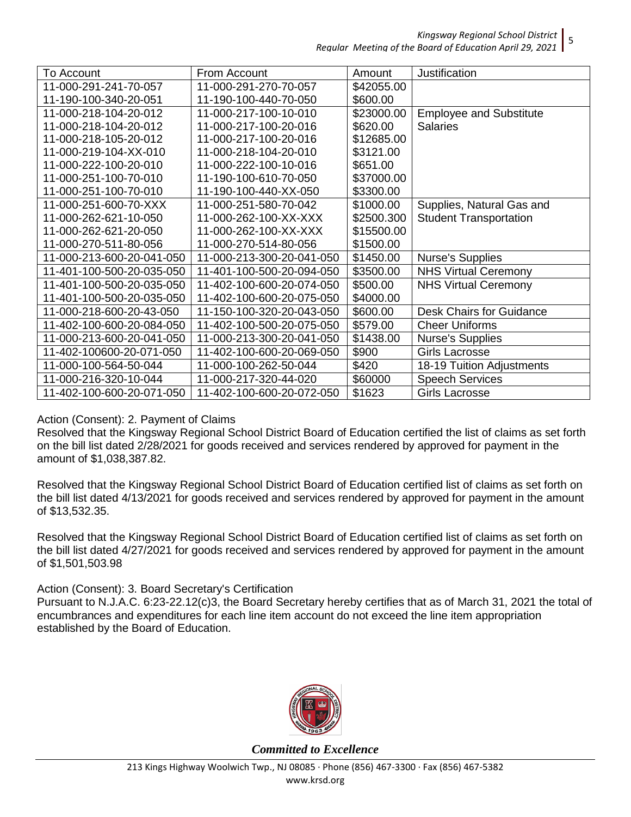*Kingsway Regional School District Regular Meeting of the Board of Education April 29, 2021*

| To Account                | From Account              | Amount     | Justification                  |
|---------------------------|---------------------------|------------|--------------------------------|
| 11-000-291-241-70-057     | 11-000-291-270-70-057     | \$42055.00 |                                |
| 11-190-100-340-20-051     | 11-190-100-440-70-050     | \$600.00   |                                |
| 11-000-218-104-20-012     | 11-000-217-100-10-010     | \$23000.00 | <b>Employee and Substitute</b> |
| 11-000-218-104-20-012     | 11-000-217-100-20-016     | \$620.00   | <b>Salaries</b>                |
| 11-000-218-105-20-012     | 11-000-217-100-20-016     | \$12685.00 |                                |
| 11-000-219-104-XX-010     | 11-000-218-104-20-010     | \$3121.00  |                                |
| 11-000-222-100-20-010     | 11-000-222-100-10-016     | \$651.00   |                                |
| 11-000-251-100-70-010     | 11-190-100-610-70-050     | \$37000.00 |                                |
| 11-000-251-100-70-010     | 11-190-100-440-XX-050     | \$3300.00  |                                |
| 11-000-251-600-70-XXX     | 11-000-251-580-70-042     | \$1000.00  | Supplies, Natural Gas and      |
| 11-000-262-621-10-050     | 11-000-262-100-XX-XXX     | \$2500.300 | <b>Student Transportation</b>  |
| 11-000-262-621-20-050     | 11-000-262-100-XX-XXX     | \$15500.00 |                                |
| 11-000-270-511-80-056     | 11-000-270-514-80-056     | \$1500.00  |                                |
| 11-000-213-600-20-041-050 | 11-000-213-300-20-041-050 | \$1450.00  | <b>Nurse's Supplies</b>        |
| 11-401-100-500-20-035-050 | 11-401-100-500-20-094-050 | \$3500.00  | <b>NHS Virtual Ceremony</b>    |
| 11-401-100-500-20-035-050 | 11-402-100-600-20-074-050 | \$500.00   | <b>NHS Virtual Ceremony</b>    |
| 11-401-100-500-20-035-050 | 11-402-100-600-20-075-050 | \$4000.00  |                                |
| 11-000-218-600-20-43-050  | 11-150-100-320-20-043-050 | \$600.00   | Desk Chairs for Guidance       |
| 11-402-100-600-20-084-050 | 11-402-100-500-20-075-050 | \$579.00   | <b>Cheer Uniforms</b>          |
| 11-000-213-600-20-041-050 | 11-000-213-300-20-041-050 | \$1438.00  | <b>Nurse's Supplies</b>        |
| 11-402-100600-20-071-050  | 11-402-100-600-20-069-050 | \$900      | Girls Lacrosse                 |
| 11-000-100-564-50-044     | 11-000-100-262-50-044     | \$420      | 18-19 Tuition Adjustments      |
| 11-000-216-320-10-044     | 11-000-217-320-44-020     | \$60000    | <b>Speech Services</b>         |
| 11-402-100-600-20-071-050 | 11-402-100-600-20-072-050 | \$1623     | <b>Girls Lacrosse</b>          |

## Action (Consent): 2. Payment of Claims

Resolved that the Kingsway Regional School District Board of Education certified the list of claims as set forth on the bill list dated 2/28/2021 for goods received and services rendered by approved for payment in the amount of \$1,038,387.82.

Resolved that the Kingsway Regional School District Board of Education certified list of claims as set forth on the bill list dated 4/13/2021 for goods received and services rendered by approved for payment in the amount of \$13,532.35.

Resolved that the Kingsway Regional School District Board of Education certified list of claims as set forth on the bill list dated 4/27/2021 for goods received and services rendered by approved for payment in the amount of \$1,501,503.98

Action (Consent): 3. Board Secretary's Certification

Pursuant to N.J.A.C. 6:23-22.12(c)3, the Board Secretary hereby certifies that as of March 31, 2021 the total of encumbrances and expenditures for each line item account do not exceed the line item appropriation established by the Board of Education.



*Committed to Excellence*

5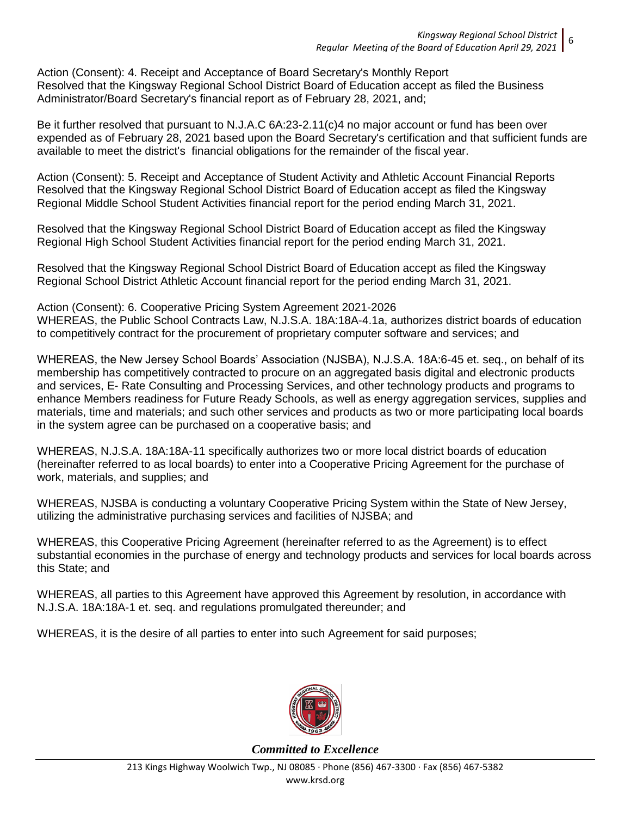Action (Consent): 4. Receipt and Acceptance of Board Secretary's Monthly Report Resolved that the Kingsway Regional School District Board of Education accept as filed the Business Administrator/Board Secretary's financial report as of February 28, 2021, and;

Be it further resolved that pursuant to N.J.A.C 6A:23-2.11(c)4 no major account or fund has been over expended as of February 28, 2021 based upon the Board Secretary's certification and that sufficient funds are available to meet the district's financial obligations for the remainder of the fiscal year.

Action (Consent): 5. Receipt and Acceptance of Student Activity and Athletic Account Financial Reports Resolved that the Kingsway Regional School District Board of Education accept as filed the Kingsway Regional Middle School Student Activities financial report for the period ending March 31, 2021.

Resolved that the Kingsway Regional School District Board of Education accept as filed the Kingsway Regional High School Student Activities financial report for the period ending March 31, 2021.

Resolved that the Kingsway Regional School District Board of Education accept as filed the Kingsway Regional School District Athletic Account financial report for the period ending March 31, 2021.

Action (Consent): 6. Cooperative Pricing System Agreement 2021-2026 WHEREAS, the Public School Contracts Law, N.J.S.A. 18A:18A-4.1a, authorizes district boards of education to competitively contract for the procurement of proprietary computer software and services; and

WHEREAS, the New Jersey School Boards' Association (NJSBA), N.J.S.A. 18A:6-45 et. seq., on behalf of its membership has competitively contracted to procure on an aggregated basis digital and electronic products and services, E- Rate Consulting and Processing Services, and other technology products and programs to enhance Members readiness for Future Ready Schools, as well as energy aggregation services, supplies and materials, time and materials; and such other services and products as two or more participating local boards in the system agree can be purchased on a cooperative basis; and

WHEREAS, N.J.S.A. 18A:18A-11 specifically authorizes two or more local district boards of education (hereinafter referred to as local boards) to enter into a Cooperative Pricing Agreement for the purchase of work, materials, and supplies; and

WHEREAS, NJSBA is conducting a voluntary Cooperative Pricing System within the State of New Jersey, utilizing the administrative purchasing services and facilities of NJSBA; and

WHEREAS, this Cooperative Pricing Agreement (hereinafter referred to as the Agreement) is to effect substantial economies in the purchase of energy and technology products and services for local boards across this State; and

WHEREAS, all parties to this Agreement have approved this Agreement by resolution, in accordance with N.J.S.A. 18A:18A-1 et. seq. and regulations promulgated thereunder; and

WHEREAS, it is the desire of all parties to enter into such Agreement for said purposes;

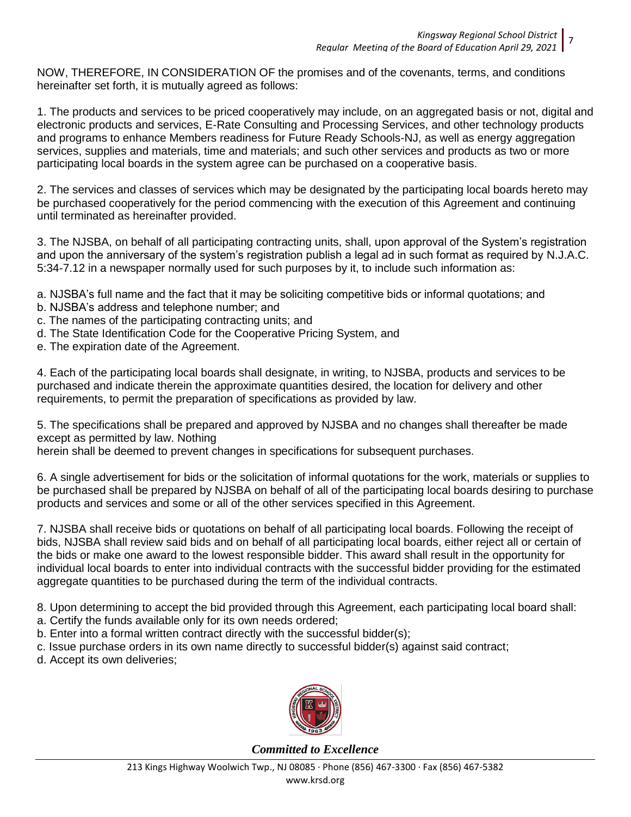NOW, THEREFORE, IN CONSIDERATION OF the promises and of the covenants, terms, and conditions hereinafter set forth, it is mutually agreed as follows:

1. The products and services to be priced cooperatively may include, on an aggregated basis or not, digital and electronic products and services, E-Rate Consulting and Processing Services, and other technology products and programs to enhance Members readiness for Future Ready Schools-NJ, as well as energy aggregation services, supplies and materials, time and materials; and such other services and products as two or more participating local boards in the system agree can be purchased on a cooperative basis.

2. The services and classes of services which may be designated by the participating local boards hereto may be purchased cooperatively for the period commencing with the execution of this Agreement and continuing until terminated as hereinafter provided.

3. The NJSBA, on behalf of all participating contracting units, shall, upon approval of the System's registration and upon the anniversary of the system's registration publish a legal ad in such format as required by N.J.A.C. 5:34-7.12 in a newspaper normally used for such purposes by it, to include such information as:

a. NJSBA's full name and the fact that it may be soliciting competitive bids or informal quotations; and

- b. NJSBA's address and telephone number; and
- c. The names of the participating contracting units; and
- d. The State Identification Code for the Cooperative Pricing System, and
- e. The expiration date of the Agreement.

4. Each of the participating local boards shall designate, in writing, to NJSBA, products and services to be purchased and indicate therein the approximate quantities desired, the location for delivery and other requirements, to permit the preparation of specifications as provided by law.

5. The specifications shall be prepared and approved by NJSBA and no changes shall thereafter be made except as permitted by law. Nothing

herein shall be deemed to prevent changes in specifications for subsequent purchases.

6. A single advertisement for bids or the solicitation of informal quotations for the work, materials or supplies to be purchased shall be prepared by NJSBA on behalf of all of the participating local boards desiring to purchase products and services and some or all of the other services specified in this Agreement.

7. NJSBA shall receive bids or quotations on behalf of all participating local boards. Following the receipt of bids, NJSBA shall review said bids and on behalf of all participating local boards, either reject all or certain of the bids or make one award to the lowest responsible bidder. This award shall result in the opportunity for individual local boards to enter into individual contracts with the successful bidder providing for the estimated aggregate quantities to be purchased during the term of the individual contracts.

8. Upon determining to accept the bid provided through this Agreement, each participating local board shall:

- a. Certify the funds available only for its own needs ordered;
- b. Enter into a formal written contract directly with the successful bidder(s);
- c. Issue purchase orders in its own name directly to successful bidder(s) against said contract;

d. Accept its own deliveries;

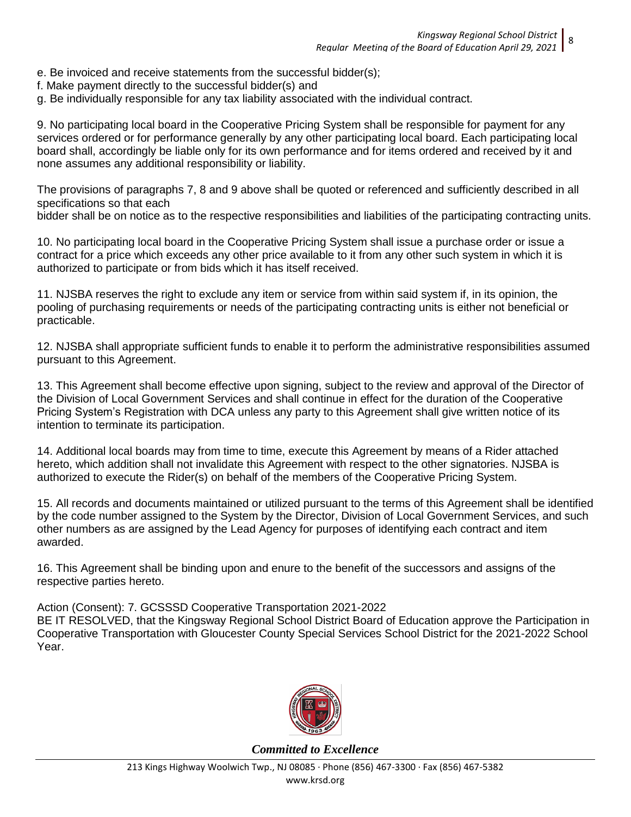- e. Be invoiced and receive statements from the successful bidder(s);
- f. Make payment directly to the successful bidder(s) and
- g. Be individually responsible for any tax liability associated with the individual contract.

9. No participating local board in the Cooperative Pricing System shall be responsible for payment for any services ordered or for performance generally by any other participating local board. Each participating local board shall, accordingly be liable only for its own performance and for items ordered and received by it and none assumes any additional responsibility or liability.

The provisions of paragraphs 7, 8 and 9 above shall be quoted or referenced and sufficiently described in all specifications so that each

bidder shall be on notice as to the respective responsibilities and liabilities of the participating contracting units.

10. No participating local board in the Cooperative Pricing System shall issue a purchase order or issue a contract for a price which exceeds any other price available to it from any other such system in which it is authorized to participate or from bids which it has itself received.

11. NJSBA reserves the right to exclude any item or service from within said system if, in its opinion, the pooling of purchasing requirements or needs of the participating contracting units is either not beneficial or practicable.

12. NJSBA shall appropriate sufficient funds to enable it to perform the administrative responsibilities assumed pursuant to this Agreement.

13. This Agreement shall become effective upon signing, subject to the review and approval of the Director of the Division of Local Government Services and shall continue in effect for the duration of the Cooperative Pricing System's Registration with DCA unless any party to this Agreement shall give written notice of its intention to terminate its participation.

14. Additional local boards may from time to time, execute this Agreement by means of a Rider attached hereto, which addition shall not invalidate this Agreement with respect to the other signatories. NJSBA is authorized to execute the Rider(s) on behalf of the members of the Cooperative Pricing System.

15. All records and documents maintained or utilized pursuant to the terms of this Agreement shall be identified by the code number assigned to the System by the Director, Division of Local Government Services, and such other numbers as are assigned by the Lead Agency for purposes of identifying each contract and item awarded.

16. This Agreement shall be binding upon and enure to the benefit of the successors and assigns of the respective parties hereto.

Action (Consent): 7. GCSSSD Cooperative Transportation 2021-2022

BE IT RESOLVED, that the Kingsway Regional School District Board of Education approve the Participation in Cooperative Transportation with Gloucester County Special Services School District for the 2021-2022 School Year.

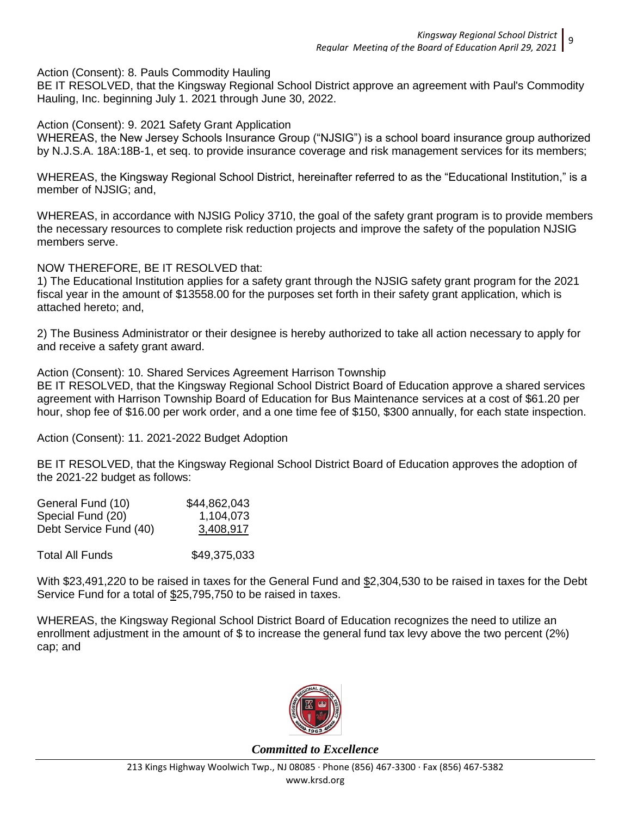Action (Consent): 8. Pauls Commodity Hauling

BE IT RESOLVED, that the Kingsway Regional School District approve an agreement with Paul's Commodity Hauling, Inc. beginning July 1. 2021 through June 30, 2022.

Action (Consent): 9. 2021 Safety Grant Application

WHEREAS, the New Jersey Schools Insurance Group ("NJSIG") is a school board insurance group authorized by N.J.S.A. 18A:18B-1, et seq. to provide insurance coverage and risk management services for its members;

WHEREAS, the Kingsway Regional School District, hereinafter referred to as the "Educational Institution," is a member of NJSIG; and,

WHEREAS, in accordance with NJSIG Policy 3710, the goal of the safety grant program is to provide members the necessary resources to complete risk reduction projects and improve the safety of the population NJSIG members serve.

NOW THEREFORE, BE IT RESOLVED that:

1) The Educational Institution applies for a safety grant through the NJSIG safety grant program for the 2021 fiscal year in the amount of \$13558.00 for the purposes set forth in their safety grant application, which is attached hereto; and,

2) The Business Administrator or their designee is hereby authorized to take all action necessary to apply for and receive a safety grant award.

Action (Consent): 10. Shared Services Agreement Harrison Township BE IT RESOLVED, that the Kingsway Regional School District Board of Education approve a shared services

agreement with Harrison Township Board of Education for Bus Maintenance services at a cost of \$61.20 per hour, shop fee of \$16.00 per work order, and a one time fee of \$150, \$300 annually, for each state inspection.

Action (Consent): 11. 2021-2022 Budget Adoption

BE IT RESOLVED, that the Kingsway Regional School District Board of Education approves the adoption of the 2021-22 budget as follows:

| General Fund (10)      | \$44,862,043 |
|------------------------|--------------|
| Special Fund (20)      | 1,104,073    |
| Debt Service Fund (40) | 3,408,917    |
|                        |              |

Total All Funds \$49,375,033

With \$23,491,220 to be raised in taxes for the General Fund and \$2,304,530 to be raised in taxes for the Debt Service Fund for a total of  $$25,795,750$  to be raised in taxes.

WHEREAS, the Kingsway Regional School District Board of Education recognizes the need to utilize an enrollment adjustment in the amount of \$ to increase the general fund tax levy above the two percent (2%) cap; and

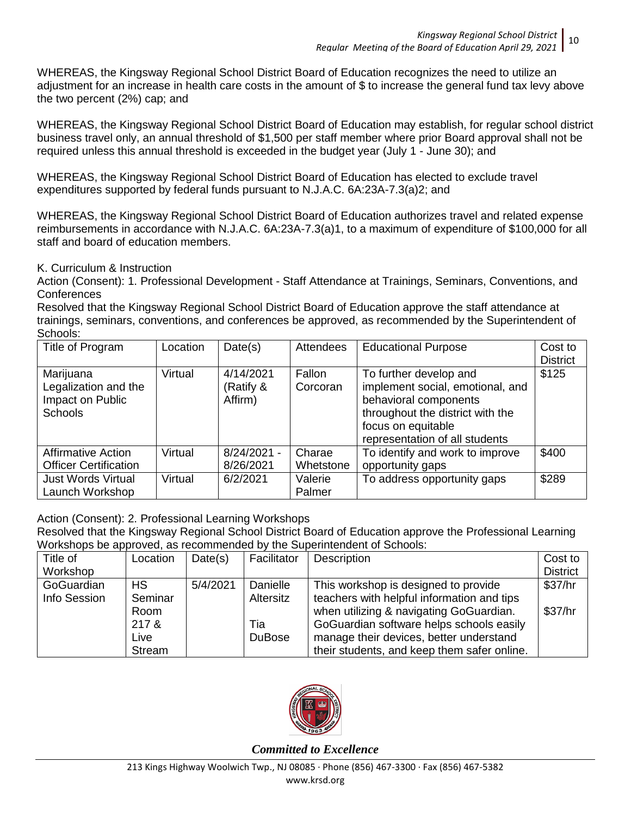WHEREAS, the Kingsway Regional School District Board of Education recognizes the need to utilize an adjustment for an increase in health care costs in the amount of \$ to increase the general fund tax levy above the two percent (2%) cap; and

WHEREAS, the Kingsway Regional School District Board of Education may establish, for regular school district business travel only, an annual threshold of \$1,500 per staff member where prior Board approval shall not be required unless this annual threshold is exceeded in the budget year (July 1 - June 30); and

WHEREAS, the Kingsway Regional School District Board of Education has elected to exclude travel expenditures supported by federal funds pursuant to N.J.A.C. 6A:23A-7.3(a)2; and

WHEREAS, the Kingsway Regional School District Board of Education authorizes travel and related expense reimbursements in accordance with N.J.A.C. 6A:23A-7.3(a)1, to a maximum of expenditure of \$100,000 for all staff and board of education members.

K. Curriculum & Instruction

Action (Consent): 1. Professional Development - Staff Attendance at Trainings, Seminars, Conventions, and **Conferences** 

Resolved that the Kingsway Regional School District Board of Education approve the staff attendance at trainings, seminars, conventions, and conferences be approved, as recommended by the Superintendent of Schools:

| Title of Program                                                        | Location | Date(s)                           | <b>Attendees</b>    | <b>Educational Purpose</b>                                                                                                                                                      | Cost to<br><b>District</b> |
|-------------------------------------------------------------------------|----------|-----------------------------------|---------------------|---------------------------------------------------------------------------------------------------------------------------------------------------------------------------------|----------------------------|
| Marijuana<br>Legalization and the<br>Impact on Public<br><b>Schools</b> | Virtual  | 4/14/2021<br>(Ratify &<br>Affirm) | Fallon<br>Corcoran  | To further develop and<br>implement social, emotional, and<br>behavioral components<br>throughout the district with the<br>focus on equitable<br>representation of all students | \$125                      |
| <b>Affirmative Action</b><br><b>Officer Certification</b>               | Virtual  | $8/24/2021 -$<br>8/26/2021        | Charae<br>Whetstone | To identify and work to improve<br>opportunity gaps                                                                                                                             | \$400                      |
| <b>Just Words Virtual</b><br>Launch Workshop                            | Virtual  | 6/2/2021                          | Valerie<br>Palmer   | To address opportunity gaps                                                                                                                                                     | \$289                      |

Action (Consent): 2. Professional Learning Workshops

Resolved that the Kingsway Regional School District Board of Education approve the Professional Learning Workshops be approved, as recommended by the Superintendent of Schools:

| Title of     | Location  | Date(s)  | Facilitator   | Description                                 | Cost to         |
|--------------|-----------|----------|---------------|---------------------------------------------|-----------------|
| Workshop     |           |          |               |                                             | <b>District</b> |
| GoGuardian   | <b>HS</b> | 5/4/2021 | Danielle      | This workshop is designed to provide        | \$37/hr         |
| Info Session | Seminar   |          | Altersitz     | teachers with helpful information and tips  |                 |
|              | Room      |          |               | when utilizing & navigating GoGuardian.     | \$37/hr         |
|              | 217 &     |          | Tia           | GoGuardian software helps schools easily    |                 |
|              | Live      |          | <b>DuBose</b> | manage their devices, better understand     |                 |
|              | Stream    |          |               | their students, and keep them safer online. |                 |

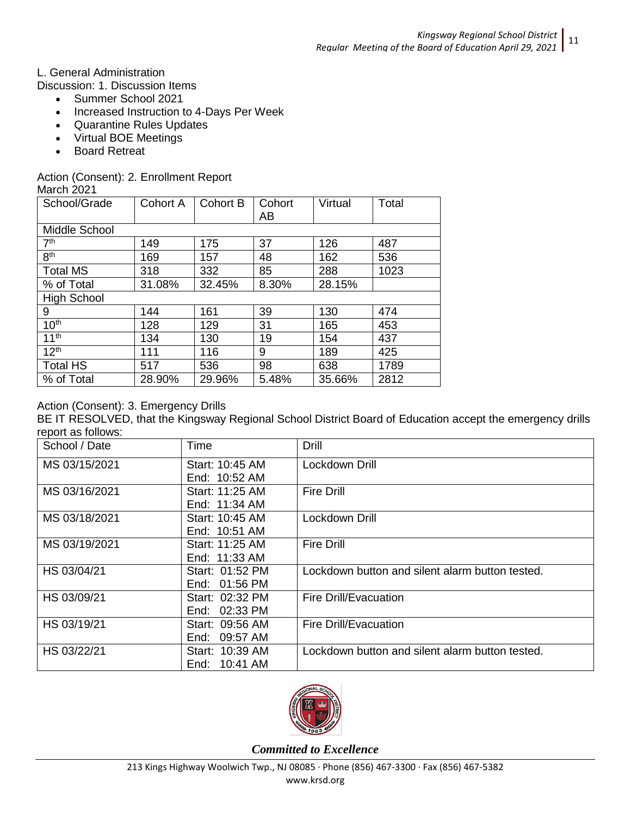L. General Administration

Discussion: 1. Discussion Items

- Summer School 2021
- Increased Instruction to 4-Days Per Week
- Quarantine Rules Updates
- Virtual BOE Meetings
- Board Retreat

## Action (Consent): 2. Enrollment Report

March 2021

| School/Grade         | <b>Cohort A</b> | <b>Cohort B</b> | Cohort<br>AB | Virtual | Total |
|----------------------|-----------------|-----------------|--------------|---------|-------|
| Middle School        |                 |                 |              |         |       |
| 7 <sup>th</sup>      | 149             | 175             | 37           | 126     | 487   |
| 8 <sup>th</sup>      | 169             | 157             | 48           | 162     | 536   |
| <b>Total MS</b>      | 318             | 332             | 85           | 288     | 1023  |
| % of Total           | 31.08%          | 32.45%          | 8.30%        | 28.15%  |       |
| <b>High School</b>   |                 |                 |              |         |       |
| 9                    | 144             | 161             | 39           | 130     | 474   |
| 10 <sup>th</sup>     | 128             | 129             | 31           | 165     | 453   |
| $11^{\overline{th}}$ | 134             | 130             | 19           | 154     | 437   |
| 12 <sup>th</sup>     | 111             | 116             | 9            | 189     | 425   |
| <b>Total HS</b>      | 517             | 536             | 98           | 638     | 1789  |
| % of Total           | 28.90%          | 29.96%          | 5.48%        | 35.66%  | 2812  |

## Action (Consent): 3. Emergency Drills

BE IT RESOLVED, that the Kingsway Regional School District Board of Education accept the emergency drills report as follows:

| School / Date | Time            | <b>Drill</b>                                    |
|---------------|-----------------|-------------------------------------------------|
| MS 03/15/2021 | Start: 10:45 AM | Lockdown Drill                                  |
|               | End: 10:52 AM   |                                                 |
| MS 03/16/2021 | Start: 11:25 AM | <b>Fire Drill</b>                               |
|               | End: 11:34 AM   |                                                 |
| MS 03/18/2021 | Start: 10:45 AM | Lockdown Drill                                  |
|               | End: 10:51 AM   |                                                 |
| MS 03/19/2021 | Start: 11:25 AM | <b>Fire Drill</b>                               |
|               | End: 11:33 AM   |                                                 |
| HS 03/04/21   | Start: 01:52 PM | Lockdown button and silent alarm button tested. |
|               | End: 01:56 PM   |                                                 |
| HS 03/09/21   | Start: 02:32 PM | <b>Fire Drill/Evacuation</b>                    |
|               | End: 02:33 PM   |                                                 |
| HS 03/19/21   | Start: 09:56 AM | Fire Drill/Evacuation                           |
|               | End: 09:57 AM   |                                                 |
| HS 03/22/21   | Start: 10:39 AM | Lockdown button and silent alarm button tested. |
|               | End: 10:41 AM   |                                                 |

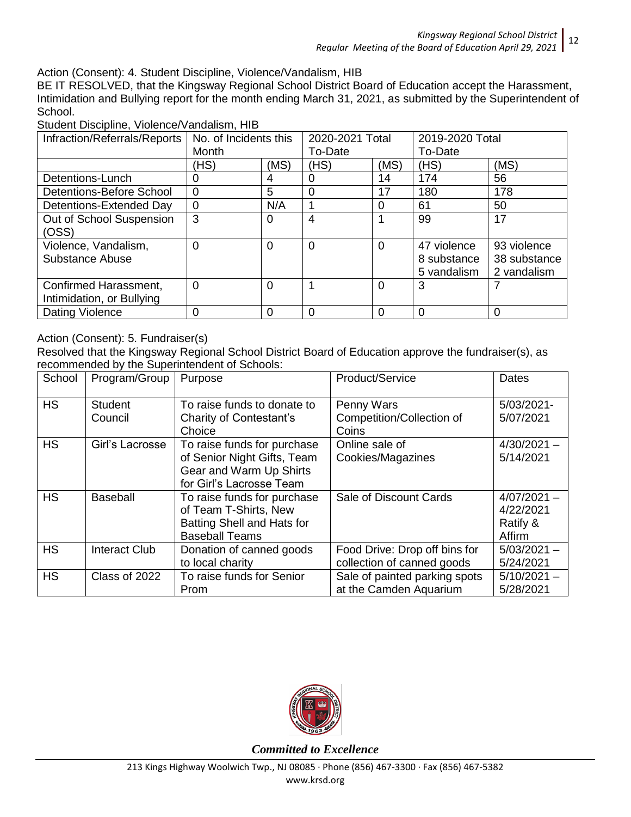Action (Consent): 4. Student Discipline, Violence/Vandalism, HIB

BE IT RESOLVED, that the Kingsway Regional School District Board of Education accept the Harassment, Intimidation and Bullying report for the month ending March 31, 2021, as submitted by the Superintendent of School.

| Infraction/Referrals/Reports                       | No. of Incidents this<br>Month |          | 2020-2021 Total<br>To-Date |                | 2019-2020 Total<br>To-Date                |                                            |
|----------------------------------------------------|--------------------------------|----------|----------------------------|----------------|-------------------------------------------|--------------------------------------------|
|                                                    | (HS)                           | (MS)     | (HS)                       | (MS)           | (HS)                                      | (MS)                                       |
| Detentions-Lunch                                   | 0                              | 4        | 0                          | 14             | 174                                       | 56                                         |
| Detentions-Before School                           | $\overline{0}$                 | 5        | 0                          | 17             | 180                                       | 178                                        |
| Detentions-Extended Day                            | $\mathbf 0$                    | N/A      |                            | 0              | 61                                        | 50                                         |
| Out of School Suspension<br>(OSS)                  | 3                              | 0        | 4                          |                | 99                                        | 17                                         |
| Violence, Vandalism,<br>Substance Abuse            | $\Omega$                       | 0        | $\Omega$                   | $\overline{0}$ | 47 violence<br>8 substance<br>5 vandalism | 93 violence<br>38 substance<br>2 vandalism |
| Confirmed Harassment,<br>Intimidation, or Bullying | $\overline{0}$                 | $\Omega$ |                            | $\Omega$       | 3                                         |                                            |
| Dating Violence                                    | 0                              | 0        | 0                          | $\Omega$       | $\Omega$                                  | 0                                          |

Student Discipline, Violence/Vandalism, HIB

## Action (Consent): 5. Fundraiser(s)

Resolved that the Kingsway Regional School District Board of Education approve the fundraiser(s), as recommended by the Superintendent of Schools:

| School    | Program/Group        | Purpose                        | Product/Service               | <b>Dates</b>  |
|-----------|----------------------|--------------------------------|-------------------------------|---------------|
| <b>HS</b> | <b>Student</b>       | To raise funds to donate to    | Penny Wars                    | 5/03/2021-    |
|           | Council              | <b>Charity of Contestant's</b> | Competition/Collection of     | 5/07/2021     |
|           |                      | Choice                         | Coins                         |               |
| <b>HS</b> | Girl's Lacrosse      | To raise funds for purchase    | Online sale of                | $4/30/2021 -$ |
|           |                      | of Senior Night Gifts, Team    | Cookies/Magazines             | 5/14/2021     |
|           |                      | Gear and Warm Up Shirts        |                               |               |
|           |                      | for Girl's Lacrosse Team       |                               |               |
| <b>HS</b> | <b>Baseball</b>      | To raise funds for purchase    | Sale of Discount Cards        | $4/07/2021 -$ |
|           |                      | of Team T-Shirts, New          |                               | 4/22/2021     |
|           |                      | Batting Shell and Hats for     |                               | Ratify &      |
|           |                      | <b>Baseball Teams</b>          |                               | Affirm        |
| <b>HS</b> | <b>Interact Club</b> | Donation of canned goods       | Food Drive: Drop off bins for | $5/03/2021 -$ |
|           |                      | to local charity               | collection of canned goods    | 5/24/2021     |
| <b>HS</b> | Class of 2022        | To raise funds for Senior      | Sale of painted parking spots | $5/10/2021 -$ |
|           |                      | Prom                           | at the Camden Aquarium        | 5/28/2021     |

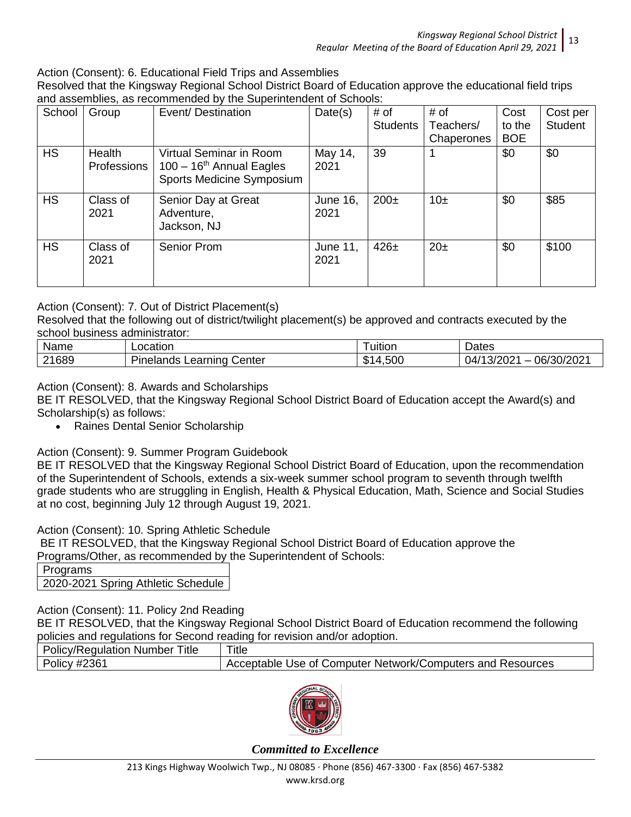Action (Consent): 6. Educational Field Trips and Assemblies

Resolved that the Kingsway Regional School District Board of Education approve the educational field trips and assemblies, as recommended by the Superintendent of Schools:

| School    | Group                 | Event/Destination                                                                              | Date(s)                 | # of<br><b>Students</b> | # of<br>Teachers/<br>Chaperones | Cost<br>to the<br><b>BOE</b> | Cost per<br><b>Student</b> |
|-----------|-----------------------|------------------------------------------------------------------------------------------------|-------------------------|-------------------------|---------------------------------|------------------------------|----------------------------|
| <b>HS</b> | Health<br>Professions | Virtual Seminar in Room<br>$100 - 16$ <sup>th</sup> Annual Eagles<br>Sports Medicine Symposium | May 14,<br>2021         | 39                      |                                 | \$0                          | \$0                        |
| <b>HS</b> | Class of<br>2021      | Senior Day at Great<br>Adventure,<br>Jackson, NJ                                               | <b>June 16,</b><br>2021 | $200\pm$                | 10±                             | \$0                          | \$85                       |
| <b>HS</b> | Class of<br>2021      | Senior Prom                                                                                    | June 11,<br>2021        | $426\pm$                | $20\pm$                         | \$0                          | \$100                      |

## Action (Consent): 7. Out of District Placement(s)

Resolved that the following out of district/twilight placement(s) be approved and contracts executed by the school business administrator:

| Name  | Location                               | ' uition                | Dates                                     |
|-------|----------------------------------------|-------------------------|-------------------------------------------|
| 21689 | $-$<br>Learning<br>enterٽ<br>Pinelands | .500<br>m.<br>۰D<br>. . | 06/30/2021<br>ว/ว∩วง<br>94.<br>≟ ∟∪∠ /⊂ ∶ |

Action (Consent): 8. Awards and Scholarships

BE IT RESOLVED, that the Kingsway Regional School District Board of Education accept the Award(s) and Scholarship(s) as follows:

Raines Dental Senior Scholarship

## Action (Consent): 9. Summer Program Guidebook

BE IT RESOLVED that the Kingsway Regional School District Board of Education, upon the recommendation of the Superintendent of Schools, extends a six-week summer school program to seventh through twelfth grade students who are struggling in English, Health & Physical Education, Math, Science and Social Studies at no cost, beginning July 12 through August 19, 2021.

Action (Consent): 10. Spring Athletic Schedule

BE IT RESOLVED, that the Kingsway Regional School District Board of Education approve the Programs/Other, as recommended by the Superintendent of Schools:

| Programs |                                  |
|----------|----------------------------------|
|          | 2020-2021 Spring Athletic Schedu |

Action (Consent): 11. Policy 2nd Reading

BE IT RESOLVED, that the Kingsway Regional School District Board of Education recommend the following policies and regulations for Second reading for revision and/or adoption.

| pondication regulations for ecoditational referencies and or adoptions |                                                            |
|------------------------------------------------------------------------|------------------------------------------------------------|
| <b>Policy/Regulation Number Title</b>                                  | Title                                                      |
| <b>Policy #2361</b>                                                    | Acceptable Use of Computer Network/Computers and Resources |